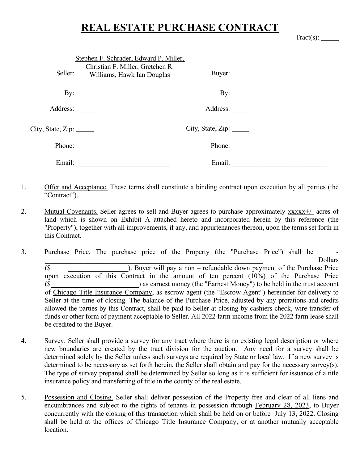## **REAL ESTATE PURCHASE CONTRACT**

| $\Gamma$ ract(s) |  |
|------------------|--|
|------------------|--|

|                     | Stephen F. Schrader, Edward P. Miller,<br>Christian F. Miller, Gretchen R. |                                                  |  |
|---------------------|----------------------------------------------------------------------------|--------------------------------------------------|--|
| Seller:             | Williams, Hawk Ian Douglas                                                 | Buyer: $\frac{ }{ }$                             |  |
|                     |                                                                            |                                                  |  |
| By: $\qquad \qquad$ |                                                                            | By: $\_\_\_\_\_\_\_\_\_\_\_\_\_\_\_\_\_\_\_\_\_$ |  |
| Address:            |                                                                            | Address: ______                                  |  |
|                     |                                                                            |                                                  |  |
|                     |                                                                            | City, State, Zip:                                |  |
| Phone:              |                                                                            | Phone: $\_\_$                                    |  |
|                     | Email: $\qquad \qquad =$                                                   | Email: $\qquad \qquad \_$                        |  |

- 1. Offer and Acceptance. These terms shall constitute a binding contract upon execution by all parties (the "Contract").
- 2. Mutual Covenants. Seller agrees to sell and Buyer agrees to purchase approximately xxxxx+/- acres of land which is shown on Exhibit A attached hereto and incorporated herein by this reference (the "Property"), together with all improvements, if any, and appurtenances thereon, upon the terms set forth in this Contract.
- 3. Purchase Price. The purchase price of the Property (the "Purchase Price") shall be  $\Box$  $\$$  ). Buyer will pay a non – refundable down payment of the Purchase Price upon execution of this Contract in the amount of ten percent (10%) of the Purchase Price (\$ \_\_\_\_\_\_\_\_\_\_\_\_\_\_\_\_\_\_\_\_) as earnest money (the "Earnest Money") to be held in the trust account of Chicago Title Insurance Company, as escrow agent (the "Escrow Agent") hereunder for delivery to Seller at the time of closing. The balance of the Purchase Price, adjusted by any prorations and credits allowed the parties by this Contract, shall be paid to Seller at closing by cashiers check, wire transfer of funds or other form of payment acceptable to Seller. All 2022 farm income from the 2022 farm lease shall be credited to the Buyer.
- 4. Survey. Seller shall provide a survey for any tract where there is no existing legal description or where new boundaries are created by the tract division for the auction. Any need for a survey shall be determined solely by the Seller unless such surveys are required by State or local law. If a new survey is determined to be necessary as set forth herein, the Seller shall obtain and pay for the necessary survey(s). The type of survey prepared shall be determined by Seller so long as it is sufficient for issuance of a title insurance policy and transferring of title in the county of the real estate.
- 5. Possession and Closing. Seller shall deliver possession of the Property free and clear of all liens and encumbrances and subject to the rights of tenants in possession through February 28, 2023, to Buyer concurrently with the closing of this transaction which shall be held on or before July 13, 2022. Closing shall be held at the offices of Chicago Title Insurance Company, or at another mutually acceptable location.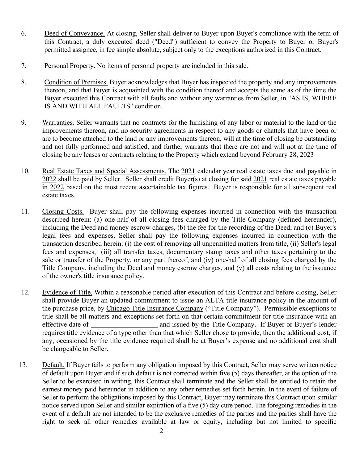- 6. Deed of Conveyance. At closing, Seller shall deliver to Buyer upon Buyer's compliance with the term of this Contract, a duly executed deed ("Deed") sufficient to convey the Property to Buyer or Buyer's permitted assignee, in fee simple absolute, subject only to the exceptions authorized in this Contract.
- 7. Personal Property. No items of personal property are included in this sale.
- 8. Condition of Premises. Buyer acknowledges that Buyer has inspected the property and any improvements thereon, and that Buyer is acquainted with the condition thereof and accepts the same as of the time the Buyer executed this Contract with all faults and without any warranties from Seller, in "AS IS, WHERE IS AND WITH ALL FAULTS" condition.
- 9. Warranties. Seller warrants that no contracts for the furnishing of any labor or material to the land or the improvements thereon, and no security agreements in respect to any goods or chattels that have been or are to become attached to the land or any improvements thereon, will at the time of closing be outstanding and not fully performed and satisfied, and further warrants that there are not and will not at the time of closing be any leases or contracts relating to the Property which extend beyond February 28, 2023
- 10. Real Estate Taxes and Special Assessments. The 2021 calendar year real estate taxes due and payable in 2022 shall be paid by Seller. Seller shall credit Buyer(s) at closing for said 2021 real estate taxes payable in 2022 based on the most recent ascertainable tax figures. Buyer is responsible for all subsequent real estate taxes.
- 11. Closing Costs. Buyer shall pay the following expenses incurred in connection with the transaction described herein: (a) one-half of all closing fees charged by the Title Company (defined hereunder), including the Deed and money escrow charges, (b) the fee for the recording of the Deed, and (c) Buyer's legal fees and expenses. Seller shall pay the following expenses incurred in connection with the transaction described herein: (i) the cost of removing all unpermitted matters from title, (ii) Seller's legal fees and expenses, (iii) all transfer taxes, documentary stamp taxes and other taxes pertaining to the sale or transfer of the Property, or any part thereof, and (iv) one-half of all closing fees charged by the Title Company, including the Deed and money escrow charges, and (v) all costs relating to the issuance of the owner's title insurance policy.
- 12. Evidence of Title. Within a reasonable period after execution of this Contract and before closing, Seller shall provide Buyer an updated commitment to issue an ALTA title insurance policy in the amount of the purchase price, by Chicago Title Insurance Company ("Title Company"). Permissible exceptions to title shall be all matters and exceptions set forth on that certain commitment for title insurance with an effective date of and issued by the Title Company. If Buyer or Buyer's lender requires title evidence of a type other than that which Seller chose to provide, then the additional cost, if any, occasioned by the title evidence required shall be at Buyer's expense and no additional cost shall be chargeable to Seller.
- 13. Default. If Buyer fails to perform any obligation imposed by this Contract, Seller may serve written notice of default upon Buyer and if such default is not corrected within five (5) days thereafter, at the option of the Seller to be exercised in writing, this Contract shall terminate and the Seller shall be entitled to retain the earnest money paid hereunder in addition to any other remedies set forth herein. In the event of failure of Seller to perform the obligations imposed by this Contract, Buyer may terminate this Contract upon similar notice served upon Seller and similar expiration of a five (5) day cure period. The foregoing remedies in the event of a default are not intended to be the exclusive remedies of the parties and the parties shall have the right to seek all other remedies available at law or equity, including but not limited to specific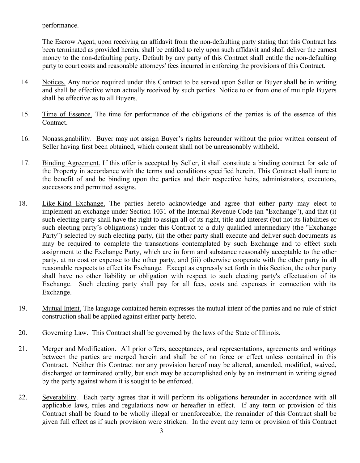performance.

The Escrow Agent, upon receiving an affidavit from the non-defaulting party stating that this Contract has been terminated as provided herein, shall be entitled to rely upon such affidavit and shall deliver the earnest money to the non-defaulting party. Default by any party of this Contract shall entitle the non-defaulting party to court costs and reasonable attorneys' fees incurred in enforcing the provisions of this Contract.

- 14. Notices. Any notice required under this Contract to be served upon Seller or Buyer shall be in writing and shall be effective when actually received by such parties. Notice to or from one of multiple Buyers shall be effective as to all Buyers.
- 15. Time of Essence. The time for performance of the obligations of the parties is of the essence of this Contract.
- 16. Nonassignability. Buyer may not assign Buyer's rights hereunder without the prior written consent of Seller having first been obtained, which consent shall not be unreasonably withheld.
- 17. Binding Agreement. If this offer is accepted by Seller, it shall constitute a binding contract for sale of the Property in accordance with the terms and conditions specified herein. This Contract shall inure to the benefit of and be binding upon the parties and their respective heirs, administrators, executors, successors and permitted assigns.
- 18. Like-Kind Exchange. The parties hereto acknowledge and agree that either party may elect to implement an exchange under Section 1031 of the Internal Revenue Code (an "Exchange"), and that (i) such electing party shall have the right to assign all of its right, title and interest (but not its liabilities or such electing party's obligations) under this Contract to a duly qualified intermediary (the "Exchange Party") selected by such electing party, (ii) the other party shall execute and deliver such documents as may be required to complete the transactions contemplated by such Exchange and to effect such assignment to the Exchange Party, which are in form and substance reasonably acceptable to the other party, at no cost or expense to the other party, and (iii) otherwise cooperate with the other party in all reasonable respects to effect its Exchange. Except as expressly set forth in this Section, the other party shall have no other liability or obligation with respect to such electing party's effectuation of its Exchange. Such electing party shall pay for all fees, costs and expenses in connection with its Exchange.
- 19. Mutual Intent. The language contained herein expresses the mutual intent of the parties and no rule of strict construction shall be applied against either party hereto.
- 20. Governing Law. This Contract shall be governed by the laws of the State of Illinois.
- 21. Merger and Modification. All prior offers, acceptances, oral representations, agreements and writings between the parties are merged herein and shall be of no force or effect unless contained in this Contract. Neither this Contract nor any provision hereof may be altered, amended, modified, waived, discharged or terminated orally, but such may be accomplished only by an instrument in writing signed by the party against whom it is sought to be enforced.
- 22. Severability. Each party agrees that it will perform its obligations hereunder in accordance with all applicable laws, rules and regulations now or hereafter in effect. If any term or provision of this Contract shall be found to be wholly illegal or unenforceable, the remainder of this Contract shall be given full effect as if such provision were stricken. In the event any term or provision of this Contract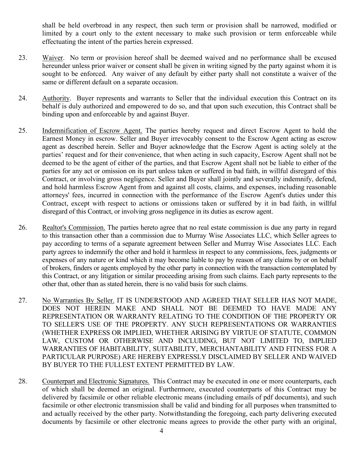shall be held overbroad in any respect, then such term or provision shall be narrowed, modified or limited by a court only to the extent necessary to make such provision or term enforceable while effectuating the intent of the parties herein expressed.

- 23. Waiver. No term or provision hereof shall be deemed waived and no performance shall be excused hereunder unless prior waiver or consent shall be given in writing signed by the party against whom it is sought to be enforced. Any waiver of any default by either party shall not constitute a waiver of the same or different default on a separate occasion.
- 24. Authority. Buyer represents and warrants to Seller that the individual execution this Contract on its behalf is duly authorized and empowered to do so, and that upon such execution, this Contract shall be binding upon and enforceable by and against Buyer.
- 25. Indemnification of Escrow Agent. The parties hereby request and direct Escrow Agent to hold the Earnest Money in escrow. Seller and Buyer irrevocably consent to the Escrow Agent acting as escrow agent as described herein. Seller and Buyer acknowledge that the Escrow Agent is acting solely at the parties' request and for their convenience, that when acting in such capacity, Escrow Agent shall not be deemed to be the agent of either of the parties, and that Escrow Agent shall not be liable to either of the parties for any act or omission on its part unless taken or suffered in bad faith, in willful disregard of this Contract, or involving gross negligence. Seller and Buyer shall jointly and severally indemnify, defend, and hold harmless Escrow Agent from and against all costs, claims, and expenses, including reasonable attorneys' fees, incurred in connection with the performance of the Escrow Agent's duties under this Contract, except with respect to actions or omissions taken or suffered by it in bad faith, in willful disregard of this Contract, or involving gross negligence in its duties as escrow agent.
- 26. Realtor's Commission. The parties hereto agree that no real estate commission is due any party in regard to this transaction other than a commission due to Murray Wise Associates LLC, which Seller agrees to pay according to terms of a separate agreement between Seller and Murray Wise Associates LLC. Each party agrees to indemnify the other and hold it harmless in respect to any commissions, fees, judgments or expenses of any nature or kind which it may become liable to pay by reason of any claims by or on behalf of brokers, finders or agents employed by the other party in connection with the transaction contemplated by this Contract, or any litigation or similar proceeding arising from such claims. Each party represents to the other that, other than as stated herein, there is no valid basis for such claims.
- 27. No Warranties By Seller. IT IS UNDERSTOOD AND AGREED THAT SELLER HAS NOT MADE, DOES NOT HEREIN MAKE AND SHALL NOT BE DEEMED TO HAVE MADE ANY REPRESENTATION OR WARRANTY RELATING TO THE CONDITION OF THE PROPERTY OR TO SELLER'S USE OF THE PROPERTY. ANY SUCH REPRESENTATIONS OR WARRANTIES (WHETHER EXPRESS OR IMPLIED, WHETHER ARISING BY VIRTUE OF STATUTE, COMMON LAW, CUSTOM OR OTHERWISE AND INCLUDING, BUT NOT LIMITED TO, IMPLIED WARRANTIES OF HABITABILITY, SUITABILITY, MERCHANTABILITY AND FITNESS FOR A PARTICULAR PURPOSE) ARE HEREBY EXPRESSLY DISCLAIMED BY SELLER AND WAIVED BY BUYER TO THE FULLEST EXTENT PERMITTED BY LAW.
- 28. Counterpart and Electronic Signatures. This Contract may be executed in one or more counterparts, each of which shall be deemed an original. Furthermore, executed counterparts of this Contract may be delivered by facsimile or other reliable electronic means (including emails of pdf documents), and such facsimile or other electronic transmission shall be valid and binding for all purposes when transmitted to and actually received by the other party. Notwithstanding the foregoing, each party delivering executed documents by facsimile or other electronic means agrees to provide the other party with an original,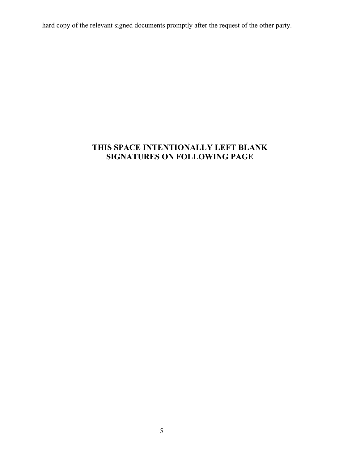hard copy of the relevant signed documents promptly after the request of the other party.

## **THIS SPACE INTENTIONALLY LEFT BLANK SIGNATURES ON FOLLOWING PAGE**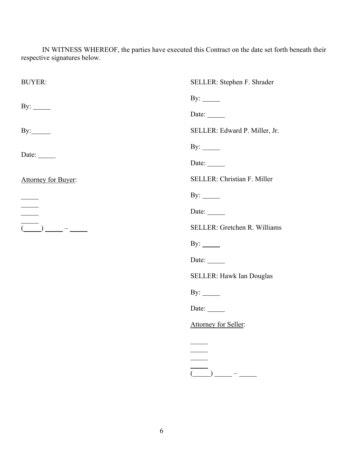IN WITNESS WHEREOF, the parties have executed this Contract on the date set forth beneath their respective signatures below.

| <b>BUYER:</b>                                                                                                                                  | SELLER: Stephen F. Shrader                                                                                                                                                                                                                                    |
|------------------------------------------------------------------------------------------------------------------------------------------------|---------------------------------------------------------------------------------------------------------------------------------------------------------------------------------------------------------------------------------------------------------------|
|                                                                                                                                                | By: $\_\_\_\_\_\_\_\_\_\_\_\_\_\_\_\_\_\_\_\_\_$                                                                                                                                                                                                              |
| By: $\_\_\_\_\_\_\_\_\$                                                                                                                        | Date: $\qquad \qquad$                                                                                                                                                                                                                                         |
|                                                                                                                                                | SELLER: Edward P. Miller, Jr.                                                                                                                                                                                                                                 |
|                                                                                                                                                | By: $\_\_\_\_\_\_\_\_\_\_\_\_\_\_\$                                                                                                                                                                                                                           |
| Date: $\_\_$                                                                                                                                   | Date: $\qquad \qquad$                                                                                                                                                                                                                                         |
| Attorney for Buyer:                                                                                                                            | SELLER: Christian F. Miller                                                                                                                                                                                                                                   |
|                                                                                                                                                | By: $\_\_\_\_\_\_\_\_\_\_\_\_\_\_\_\_\_\_\_\_\_\_\_\_\_\_\_\_\_\_\_\_$                                                                                                                                                                                        |
| $\frac{1}{1}$                                                                                                                                  | Date:                                                                                                                                                                                                                                                         |
| $\overline{(\hspace{0.05cm}\underline{\hspace{0.05cm}})}\hspace{0.05cm}\underline{\hspace{0.05cm}}-\hspace{0.05cm}\underline{\hspace{0.05cm}}$ | SELLER: Gretchen R. Williams                                                                                                                                                                                                                                  |
|                                                                                                                                                | By: $\_\_$                                                                                                                                                                                                                                                    |
|                                                                                                                                                | Date: $\_\_$                                                                                                                                                                                                                                                  |
|                                                                                                                                                | SELLER: Hawk Ian Douglas                                                                                                                                                                                                                                      |
|                                                                                                                                                | By: $\_\_\_\_\_\_\_\_\_\$                                                                                                                                                                                                                                     |
|                                                                                                                                                | Date: $\_\_$                                                                                                                                                                                                                                                  |
|                                                                                                                                                | Attorney for Seller:                                                                                                                                                                                                                                          |
|                                                                                                                                                |                                                                                                                                                                                                                                                               |
|                                                                                                                                                |                                                                                                                                                                                                                                                               |
|                                                                                                                                                | $\overline{\overline{\underline{(-)}}}_{\underline{\phantom{A}}\underline{\phantom{A}}\underline{\phantom{A}}}-\underline{\phantom{A}}_{\underline{\phantom{A}}\underline{\phantom{A}}\underline{\phantom{A}}\underline{\phantom{A}}}\underline{\phantom{A}}$ |
|                                                                                                                                                |                                                                                                                                                                                                                                                               |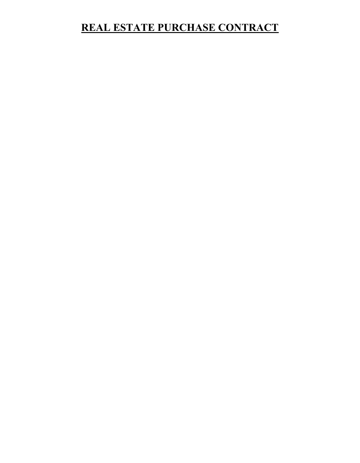## **REAL ESTATE PURCHASE CONTRACT**